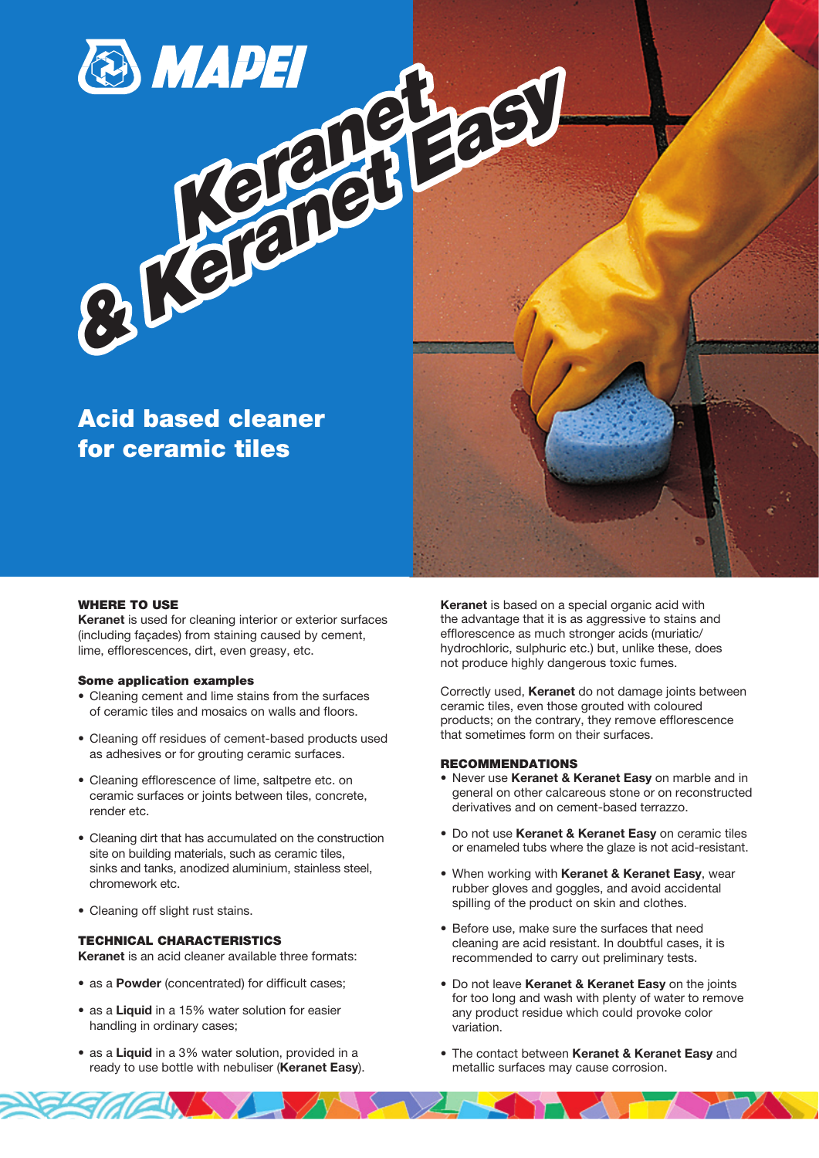

## WHERE TO USE

Keranet is used for cleaning interior or exterior surfaces (including façades) from staining caused by cement, lime, efflorescences, dirt, even greasy, etc.

#### Some application examples

- Cleaning cement and lime stains from the surfaces of ceramic tiles and mosaics on walls and floors.
- Cleaning off residues of cement-based products used as adhesives or for grouting ceramic surfaces.
- Cleaning efflorescence of lime, saltpetre etc. on ceramic surfaces or joints between tiles, concrete, render etc.
- Cleaning dirt that has accumulated on the construction site on building materials, such as ceramic tiles, sinks and tanks, anodized aluminium, stainless steel, chromework etc.
- Cleaning off slight rust stains.

## TECHNICAL CHARACTERISTICS

Keranet is an acid cleaner available three formats:

- as a Powder (concentrated) for difficult cases;
- as a Liquid in a 15% water solution for easier handling in ordinary cases;
- as a Liquid in a 3% water solution, provided in a ready to use bottle with nebuliser (Keranet Easy).

Keranet is based on a special organic acid with the advantage that it is as aggressive to stains and efflorescence as much stronger acids (muriatic/ hydrochloric, sulphuric etc.) but, unlike these, does not produce highly dangerous toxic fumes.

Correctly used, Keranet do not damage joints between ceramic tiles, even those grouted with coloured products; on the contrary, they remove efflorescence that sometimes form on their surfaces.

## RECOMMENDATIONS

- Never use Keranet & Keranet Easy on marble and in general on other calcareous stone or on reconstructed derivatives and on cement-based terrazzo.
- Do not use Keranet & Keranet Easy on ceramic tiles or enameled tubs where the glaze is not acid-resistant.
- When working with Keranet & Keranet Easy, wear rubber gloves and goggles, and avoid accidental spilling of the product on skin and clothes.
- Before use, make sure the surfaces that need cleaning are acid resistant. In doubtful cases, it is recommended to carry out preliminary tests.
- Do not leave Keranet & Keranet Easy on the joints for too long and wash with plenty of water to remove any product residue which could provoke color variation.
- The contact between Keranet & Keranet Easy and metallic surfaces may cause corrosion.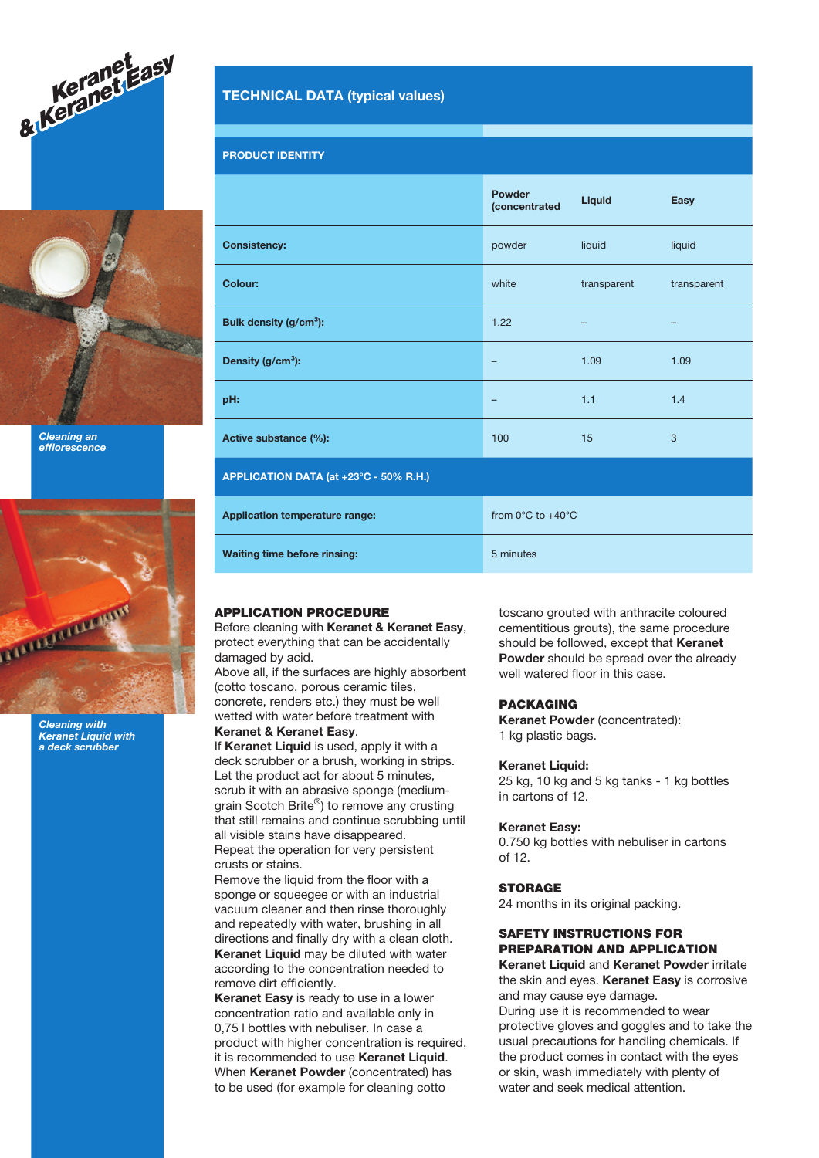



Cleaning an efflorescence



Cleaning with Keranet Liquid with a deck scrubber

# TECHNICAL DATA (typical values)

## PRODUCT IDENTITY

|                                        | Powder<br><i>(concentrated</i>        | Liquid      | <b>Easy</b> |
|----------------------------------------|---------------------------------------|-------------|-------------|
| <b>Consistency:</b>                    | powder                                | liquid      | liquid      |
| Colour:                                | white                                 | transparent | transparent |
| Bulk density (g/cm <sup>3</sup> ):     | 1.22                                  |             | -           |
| Density (g/cm <sup>3</sup> ):          | -                                     | 1.09        | 1.09        |
| pH:                                    | -                                     | 1.1         | 1.4         |
| Active substance (%):                  | 100                                   | 15          | 3           |
| APPLICATION DATA (at +23°C - 50% R.H.) |                                       |             |             |
| <b>Application temperature range:</b>  | from $0^{\circ}$ C to $+40^{\circ}$ C |             |             |
| <b>Waiting time before rinsing:</b>    | 5 minutes                             |             |             |

## APPLICATION PROCEDURE

Before cleaning with Keranet & Keranet Easy, protect everything that can be accidentally damaged by acid.

Above all, if the surfaces are highly absorbent (cotto toscano, porous ceramic tiles, concrete, renders etc.) they must be well wetted with water before treatment with

Keranet & Keranet Easy.

If Keranet Liquid is used, apply it with a deck scrubber or a brush, working in strips. Let the product act for about 5 minutes, scrub it with an abrasive sponge (mediumgrain Scotch Brite®) to remove any crusting that still remains and continue scrubbing until all visible stains have disappeared. Repeat the operation for very persistent

crusts or stains. Remove the liquid from the floor with a

sponge or squeegee or with an industrial vacuum cleaner and then rinse thoroughly and repeatedly with water, brushing in all directions and finally dry with a clean cloth. Keranet Liquid may be diluted with water according to the concentration needed to remove dirt efficiently.

Keranet Easy is ready to use in a lower concentration ratio and available only in 0,75 l bottles with nebuliser. In case a product with higher concentration is required, it is recommended to use Keranet Liquid. When Keranet Powder (concentrated) has to be used (for example for cleaning cotto

toscano grouted with anthracite coloured cementitious grouts), the same procedure should be followed, except that Keranet Powder should be spread over the already well watered floor in this case.

## PACKAGING

Keranet Powder (concentrated): 1 kg plastic bags.

## Keranet Liquid:

25 kg, 10 kg and 5 kg tanks - 1 kg bottles in cartons of 12.

## Keranet Easy:

0.750 kg bottles with nebuliser in cartons of 12.

#### **STORAGE**

24 months in its original packing.

# SAFETY INSTRUCTIONS FOR PREPARATION AND APPLICATION

Keranet Liquid and Keranet Powder irritate the skin and eyes. Keranet Easy is corrosive and may cause eye damage.

During use it is recommended to wear protective gloves and goggles and to take the usual precautions for handling chemicals. If the product comes in contact with the eyes or skin, wash immediately with plenty of water and seek medical attention.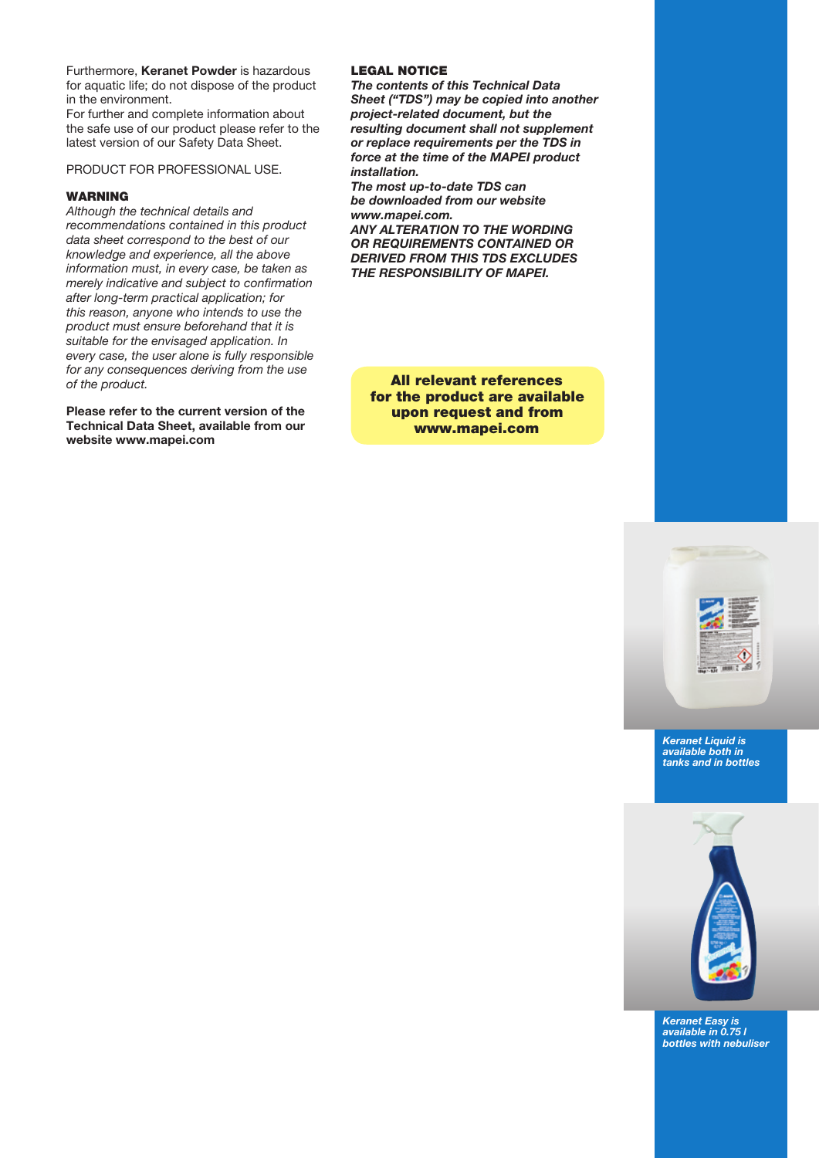Furthermore, Keranet Powder is hazardous for aquatic life; do not dispose of the product in the environment.

For further and complete information about the safe use of our product please refer to the latest version of our Safety Data Sheet.

PRODUCT FOR PROFESSIONAL USE.

## WARNING

Although the technical details and recommendations contained in this product data sheet correspond to the best of our knowledge and experience, all the above information must, in every case, be taken as merely indicative and subject to confirmation after long-term practical application; for this reason, anyone who intends to use the product must ensure beforehand that it is suitable for the envisaged application. In every case, the user alone is fully responsible for any consequences deriving from the use of the product.

Please refer to the current version of the Technical Data Sheet, available from our website www.mapei.com

## LEGAL NOTICE

The contents of this Technical Data Sheet ("TDS") may be copied into another project-related document, but the resulting document shall not supplement or replace requirements per the TDS in force at the time of the MAPEI product installation.

The most up-to-date TDS can be downloaded from our website www.mapei.com.

ANY ALTERATION TO THE WORDING OR REQUIREMENTS CONTAINED OR DERIVED FROM THIS TDS EXCLUDES THE RESPONSIBILITY OF MAPEI.

All relevant references for the product are available upon request and from www.mapei.com



Keranet Liquid is available both in tanks and in bottles



Keranet Easy is available in 0.75 l bottles with nebuliser